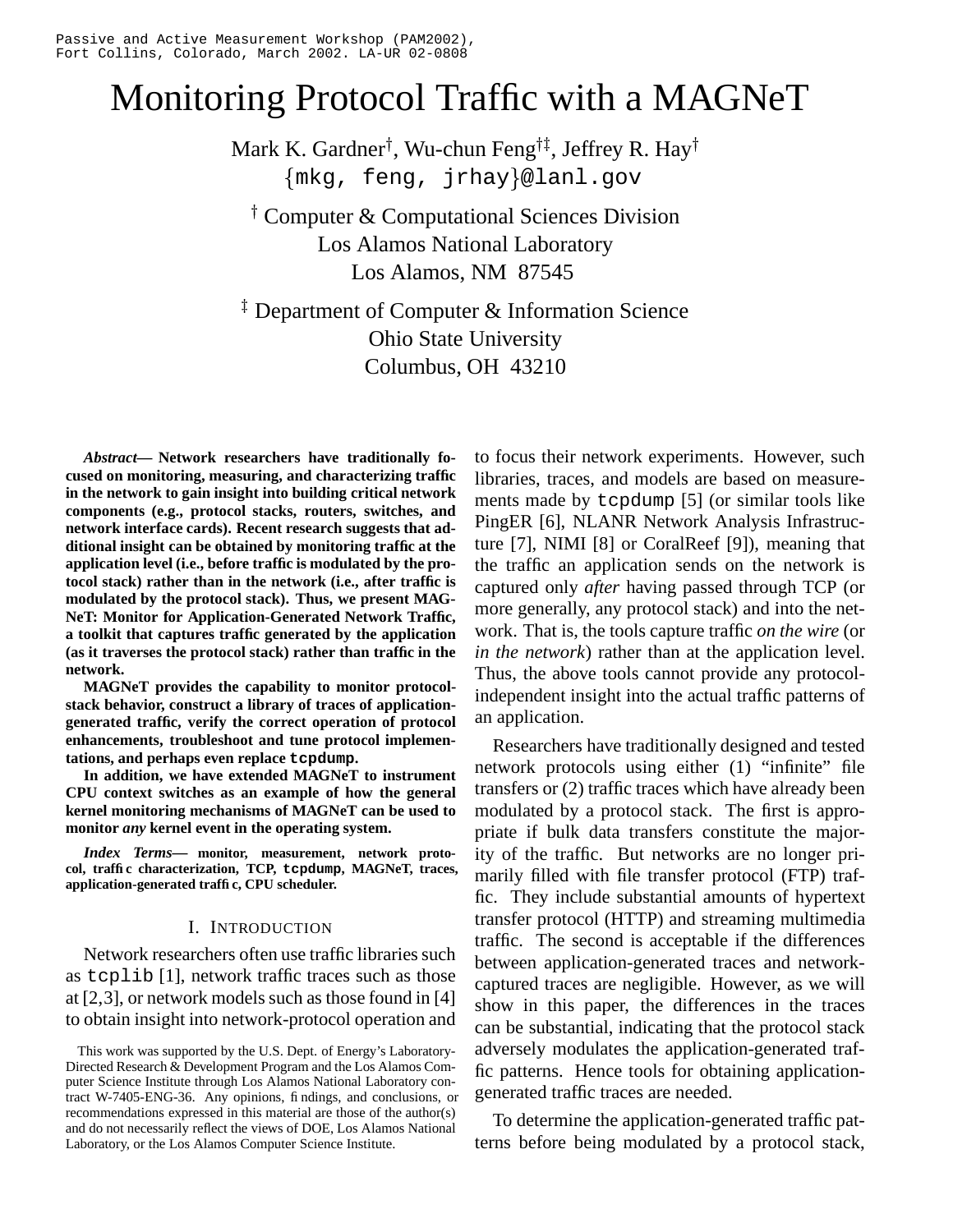# Monitoring Protocol Traffic with a MAGNeT

Mark K. Gardner†, Wu-chun Feng†‡, Jeffrey R. Hay†  $\{\mathtt{mkg}$ , feng, jrhay $\}$ @lanl.gov

 Computer & Computational Sciences Division Los Alamos National Laboratory Los Alamos, NM 87545

<sup>‡</sup> Department of Computer & Information Science Ohio State University Columbus, OH 43210

*Abstract***— Network researchers have traditionally focused on monitoring, measuring, and characterizing traffic in the network to gain insight into building critical network components (e.g., protocol stacks, routers, switches, and network interface cards). Recent research suggests that additional insight can be obtained by monitoring traffic at the application level (i.e., before traffic is modulated by the protocol stack) rather than in the network (i.e., after traffic is modulated by the protocol stack). Thus, we present MAG-NeT: Monitor for Application-Generated Network Traffic, a toolkit that captures traffic generated by the application (as it traverses the protocol stack) rather than traffic in the network.**

**MAGNeT provides the capability to monitor protocolstack behavior, construct a library of traces of applicationgenerated traffic, verify the correct operation of protocol enhancements, troubleshoot and tune protocol implementations, and perhaps even replace tcpdump.**

**In addition, we have extended MAGNeT to instrument CPU context switches as an example of how the general kernel monitoring mechanisms of MAGNeT can be used to monitor** *any* **kernel event in the operating system.**

*Index Terms***— monitor, measurement, network protocol, traffic characterization, TCP, tcpdump, MAGNeT, traces, application-generated traffic, CPU scheduler.**

# I. INTRODUCTION

Network researchers often use traffic libraries such as tcplib [1], network traffic traces such as those at  $[2,3]$ , or network models such as those found in  $[4]$ to obtain insight into network-protocol operation and

to focus their network experiments. However, such libraries, traces, and models are based on measurements made by tcpdump [5] (or similar tools like PingER [6], NLANR Network Analysis Infrastructure [7], NIMI [8] or CoralReef [9]), meaning that the traffic an application sends on the network is captured only *after* having passed through TCP (or more generally, any protocol stack) and into the network. That is, the tools capture traffic *on the wire* (or *in the network*) rather than at the application level. Thus, the above tools cannot provide any protocolindependent insight into the actual traffic patterns of an application.

Researchers have traditionally designed and tested network protocols using either (1) "infinite" file transfers or (2) traffic traces which have already been modulated by a protocol stack. The first is appropriate if bulk data transfers constitute the majority of the traffic. But networks are no longer primarily filled with file transfer protocol (FTP) traffic. They include substantial amounts of hypertext transfer protocol (HTTP) and streaming multimedia traffic. The second is acceptable if the differences between application-generated traces and networkcaptured traces are negligible. However, as we will show in this paper, the differences in the traces can be substantial, indicating that the protocol stack adversely modulates the application-generated traffic patterns. Hence tools for obtaining applicationgenerated traffic traces are needed.

To determine the application-generated traffic patterns before being modulated by a protocol stack,

This work was supported by the U.S. Dept. of Energy's Laboratory-Directed Research & Development Program and the Los Alamos Computer Science Institute through Los Alamos National Laboratory contract W-7405-ENG-36. Any opinions, findings, and conclusions, or recommendations expressed in this material are those of the author(s) and do not necessarily reflect the views of DOE, Los Alamos National Laboratory, or the Los Alamos Computer Science Institute.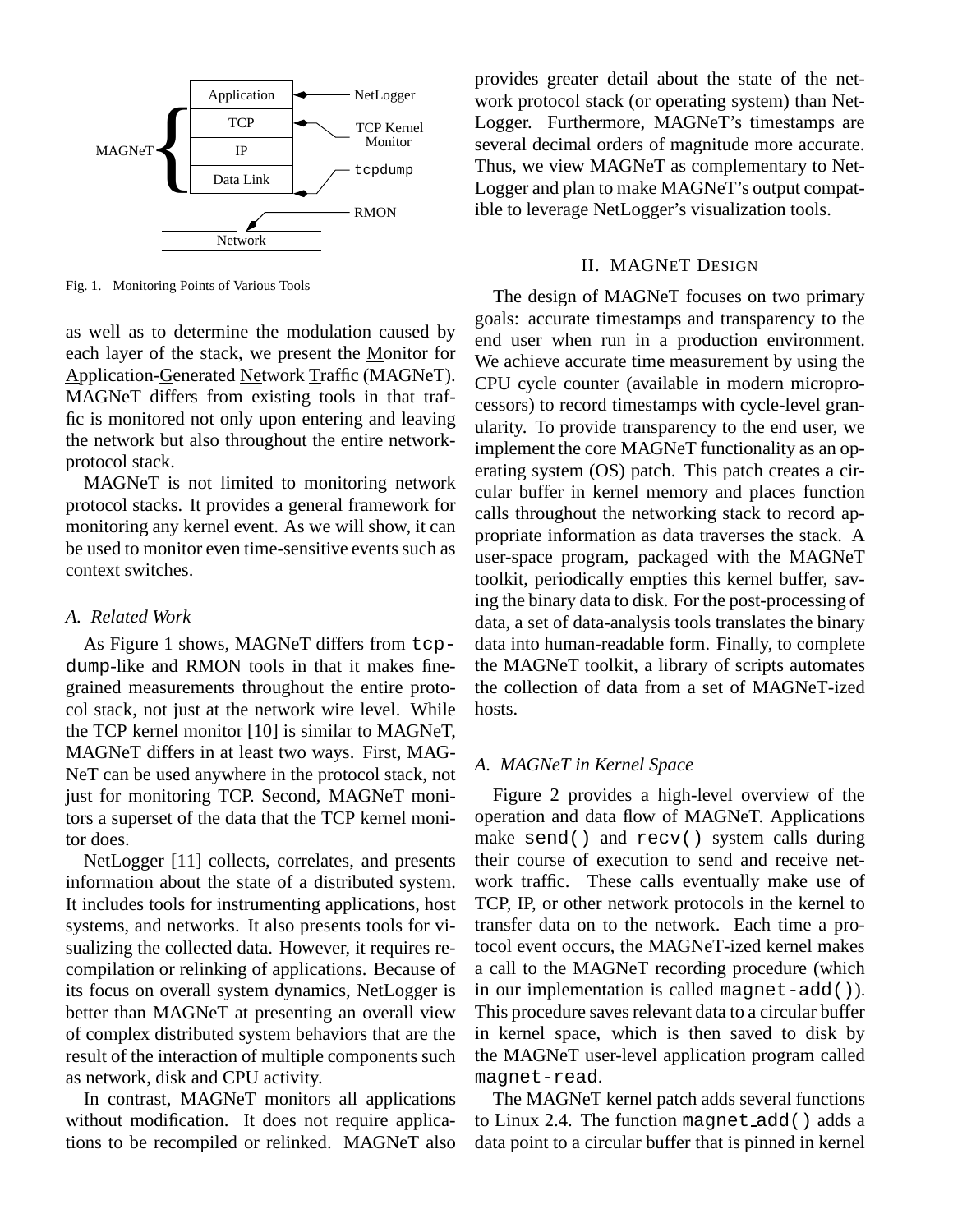

Fig. 1. Monitoring Points of Various Tools

as well as to determine the modulation caused by each layer of the stack, we present the Monitor for Application-Generated Network Traffic (MAGNeT). MAGNeT differs from existing tools in that traffic is monitored not only upon entering and leaving the network but also throughout the entire networkprotocol stack.

MAGNeT is not limited to monitoring network protocol stacks. It provides a general framework for monitoring any kernel event. As we will show, it can be used to monitor even time-sensitive events such as context switches.

# *A. Related Work*

As Figure 1 shows, MAGNeT differs from tcpdump-like and RMON tools in that it makes finegrained measurements throughout the entire protocol stack, not just at the network wire level. While the TCP kernel monitor [10] is similar to MAGNeT, MAGNeT differs in at least two ways. First, MAG-NeT can be used anywhere in the protocol stack, not just for monitoring TCP. Second, MAGNeT monitors a superset of the data that the TCP kernel monitor does.

NetLogger [11] collects, correlates, and presents information about the state of a distributed system. It includes tools for instrumenting applications, host systems, and networks. It also presents tools for visualizing the collected data. However, it requires recompilation or relinking of applications. Because of its focus on overall system dynamics, NetLogger is better than MAGNeT at presenting an overall view of complex distributed system behaviors that are the result of the interaction of multiple components such as network, disk and CPU activity.

In contrast, MAGNeT monitors all applications without modification. It does not require applications to be recompiled or relinked. MAGNeT also

provides greater detail about the state of the network protocol stack (or operating system) than Net-Logger. Furthermore, MAGNeT's timestamps are several decimal orders of magnitude more accurate. Thus, we view MAGNeT as complementary to Net-Logger and plan to make MAGNeT's output compatible to leverage NetLogger's visualization tools.

# II. MAGNET DESIGN

The design of MAGNeT focuses on two primary goals: accurate timestamps and transparency to the end user when run in a production environment. We achieve accurate time measurement by using the CPU cycle counter (available in modern microprocessors) to record timestamps with cycle-level granularity. To provide transparency to the end user, we implement the core MAGNeT functionality as an operating system (OS) patch. This patch creates a circular buffer in kernel memory and places function calls throughout the networking stack to record appropriate information as data traverses the stack. A user-space program, packaged with the MAGNeT toolkit, periodically empties this kernel buffer, saving the binary data to disk. For the post-processing of data, a set of data-analysis tools translates the binary data into human-readable form. Finally, to complete the MAGNeT toolkit, a library of scripts automates the collection of data from a set of MAGNeT-ized hosts.

# *A. MAGNeT in Kernel Space*

Figure 2 provides a high-level overview of the operation and data flow of MAGNeT. Applications make send() and recv() system calls during their course of execution to send and receive network traffic. These calls eventually make use of TCP, IP, or other network protocols in the kernel to transfer data on to the network. Each time a protocol event occurs, the MAGNeT-ized kernel makes a call to the MAGNeT recording procedure (which in our implementation is called magnet-add()). This procedure saves relevant data to a circular buffer in kernel space, which is then saved to disk by the MAGNeT user-level application program called magnet-read.

The MAGNeT kernel patch adds several functions to Linux 2.4. The function magnet add() adds a data point to a circular buffer that is pinned in kernel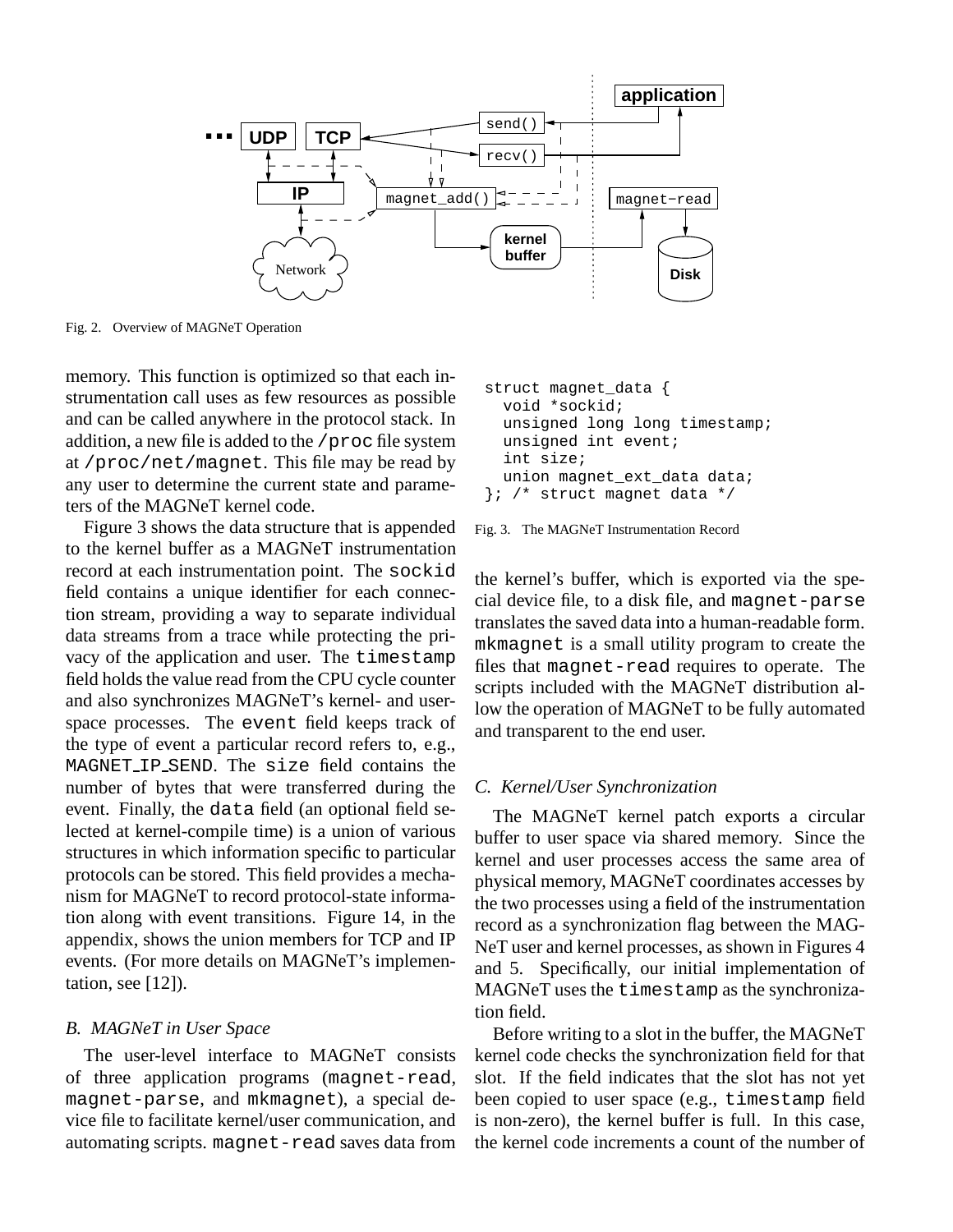

Fig. 2. Overview of MAGNeT Operation

memory. This function is optimized so that each instrumentation call uses as few resources as possible and can be called anywhere in the protocol stack. In addition, a new file is added to the /proc file system at /proc/net/magnet. This file may be read by any user to determine the current state and parameters of the MAGNeT kernel code.

Figure 3 shows the data structure that is appended to the kernel buffer as a MAGNeT instrumentation record at each instrumentation point. The sockid field contains a unique identifier for each connection stream, providing a way to separate individual data streams from a trace while protecting the privacy of the application and user. The timestamp field holds the value read from the CPU cycle counter and also synchronizes MAGNeT's kernel- and userspace processes. The event field keeps track of the type of event a particular record refers to, e.g., MAGNET IP SEND. The size field contains the number of bytes that were transferred during the event. Finally, the data field (an optional field selected at kernel-compile time) is a union of various structures in which information specific to particular protocols can be stored. This field provides a mechanism for MAGNeT to record protocol-state information along with event transitions. Figure 14, in the appendix, shows the union members for TCP and IP events. (For more details on MAGNeT's implementation, see [12]).

# *B. MAGNeT in User Space*

The user-level interface to MAGNeT consists of three application programs (magnet-read, magnet-parse, and mkmagnet), a special device file to facilitate kernel/user communication, and automating scripts. magnet-read saves data from

| struct magnet_data {          |  |  |  |  |  |
|-------------------------------|--|--|--|--|--|
| void *sockid;                 |  |  |  |  |  |
| unsigned long long timestamp; |  |  |  |  |  |
| unsigned int event;           |  |  |  |  |  |
| int size;                     |  |  |  |  |  |
| union magnet ext data data;   |  |  |  |  |  |
| }; /* struct magnet data */   |  |  |  |  |  |

Fig. 3. The MAGNeT Instrumentation Record

the kernel's buffer, which is exported via the special device file, to a disk file, and magnet-parse translates the saved data into a human-readable form. mkmagnet is a small utility program to create the files that magnet-read requires to operate. The scripts included with the MAGNeT distribution allow the operation of MAGNeT to be fully automated and transparent to the end user.

# *C. Kernel/User Synchronization*

The MAGNeT kernel patch exports a circular buffer to user space via shared memory. Since the kernel and user processes access the same area of physical memory, MAGNeT coordinates accesses by the two processes using a field of the instrumentation record as a synchronization flag between the MAG-NeT user and kernel processes, as shown in Figures 4 and 5. Specifically, our initial implementation of MAGNeT uses the timestamp as the synchronization field.

Before writing to a slot in the buffer, the MAGNeT kernel code checks the synchronization field for that slot. If the field indicates that the slot has not yet been copied to user space (e.g., timestamp field is non-zero), the kernel buffer is full. In this case, the kernel code increments a count of the number of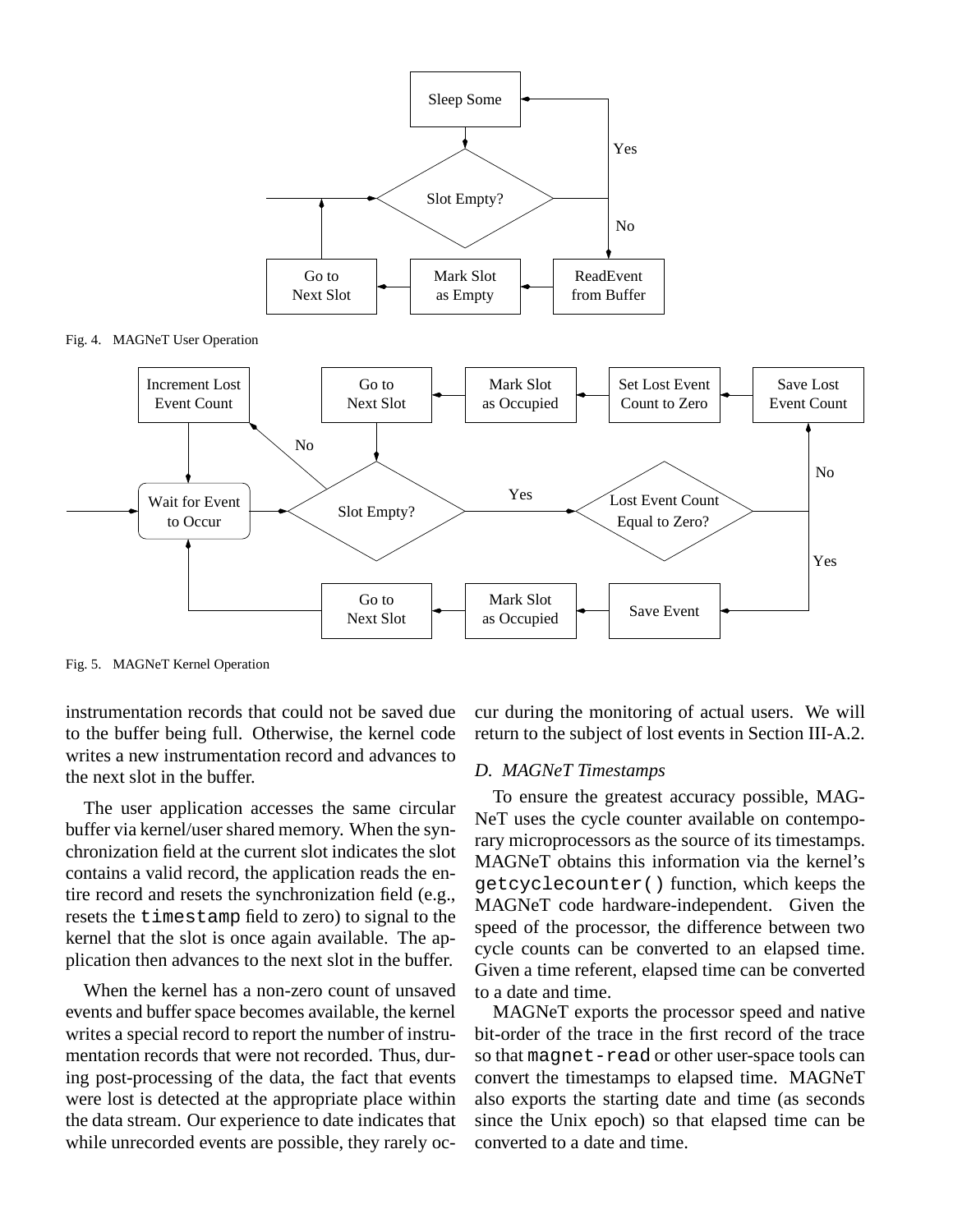

Fig. 5. MAGNeT Kernel Operation

instrumentation records that could not be saved due to the buffer being full. Otherwise, the kernel code writes a new instrumentation record and advances to the next slot in the buffer.

The user application accesses the same circular buffer via kernel/user shared memory. When the synchronization field at the current slot indicates the slot contains a valid record, the application reads the entire record and resets the synchronization field (e.g., resets the timestamp field to zero) to signal to the kernel that the slot is once again available. The application then advances to the next slot in the buffer.

When the kernel has a non-zero count of unsaved events and buffer space becomes available, the kernel writes a special record to report the number of instrumentation records that were not recorded. Thus, during post-processing of the data, the fact that events were lost is detected at the appropriate place within the data stream. Our experience to date indicates that while unrecorded events are possible, they rarely occur during the monitoring of actual users. We will return to the subject of lost events in Section III-A.2.

### *D. MAGNeT Timestamps*

To ensure the greatest accuracy possible, MAG-NeT uses the cycle counter available on contemporary microprocessors as the source of its timestamps. MAGNeT obtains this information via the kernel's getcyclecounter() function, which keeps the MAGNeT code hardware-independent. Given the speed of the processor, the difference between two cycle counts can be converted to an elapsed time. Given a time referent, elapsed time can be converted to a date and time.

MAGNeT exports the processor speed and native bit-order of the trace in the first record of the trace so that magnet-read or other user-space tools can convert the timestamps to elapsed time. MAGNeT also exports the starting date and time (as seconds since the Unix epoch) so that elapsed time can be converted to a date and time.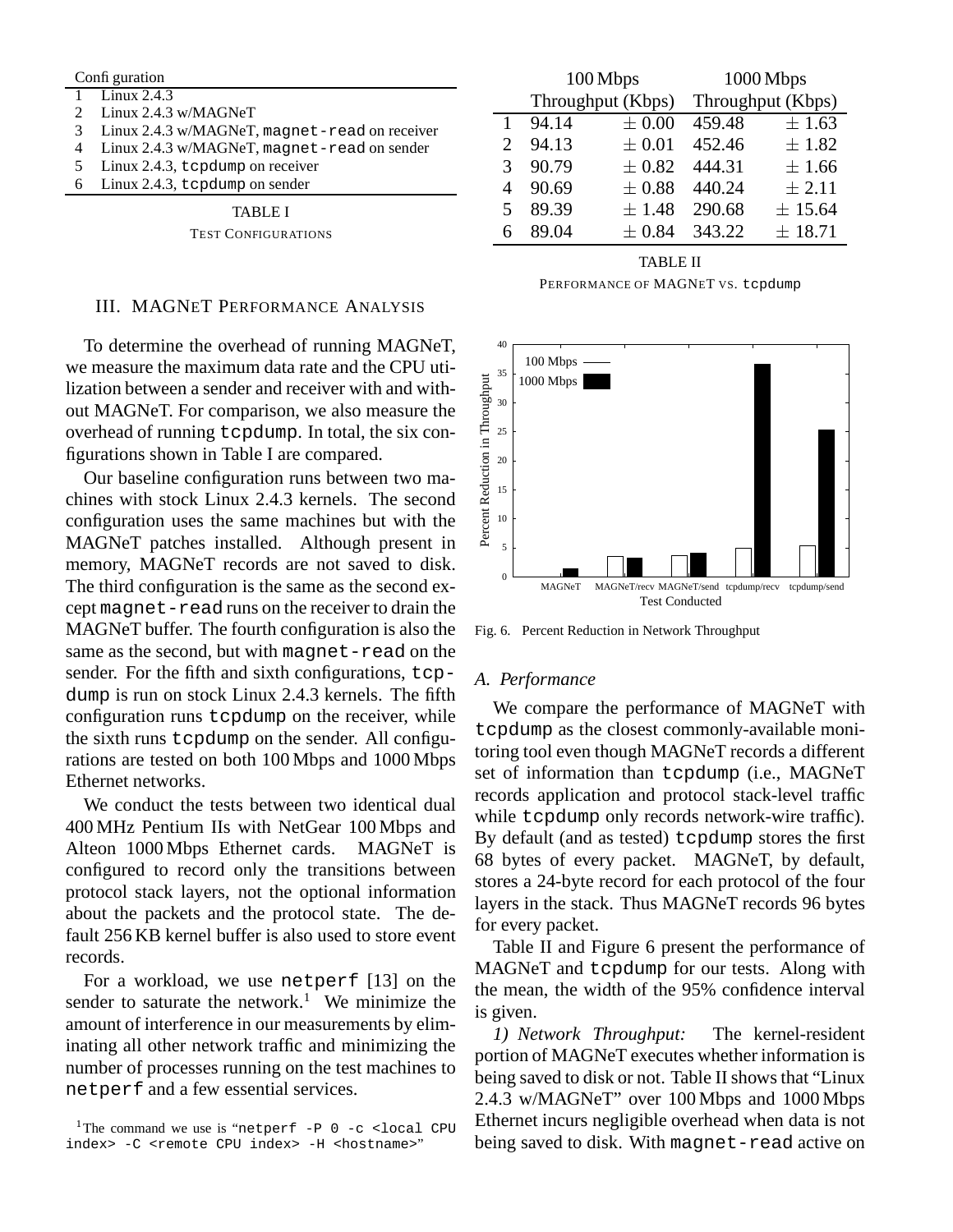|   | Configuration                                    |  |  |  |  |  |
|---|--------------------------------------------------|--|--|--|--|--|
|   | 1 $\frac{1 \text{ minx } 2.4.3}{2 \text{ minx}}$ |  |  |  |  |  |
|   | Linux 2.4.3 w/MAGNeT                             |  |  |  |  |  |
| 3 | Linux 2.4.3 w/MAGNeT, magnet-read on receiver    |  |  |  |  |  |
|   | Linux 2.4.3 w/MAGNeT, magnet-read on sender      |  |  |  |  |  |
| 5 | Linux 2.4.3, t cpdump on receiver                |  |  |  |  |  |
| 6 | Linux 2.4.3, tcpdump on sender                   |  |  |  |  |  |
|   |                                                  |  |  |  |  |  |

TABLE I

TEST CONFIGURATIONS

# III. MAGNET PERFORMANCE ANALYSIS

To determine the overhead of running MAGNeT, we measure the maximum data rate and the CPU utilization between a sender and receiver with and without MAGNeT. For comparison, we also measure the overhead of running tcpdump. In total, the six configurations shown in Table I are compared.

Our baseline configuration runs between two machines with stock Linux 2.4.3 kernels. The second configuration uses the same machines but with the MAGNeT patches installed. Although present in memory, MAGNeT records are not saved to disk. The third configuration is the same as the second except magnet-read runs on the receiver to drain the MAGNeT buffer. The fourth configuration is also the same as the second, but with magnet-read on the sender. For the fifth and sixth configurations, tcpdump is run on stock Linux 2.4.3 kernels. The fifth configuration runs tcpdump on the receiver, while the sixth runs tcpdump on the sender. All configurations are tested on both 100 Mbps and 1000 Mbps Ethernet networks.

We conduct the tests between two identical dual 400 MHz Pentium IIs with NetGear 100 Mbps and Alteon 1000 Mbps Ethernet cards. MAGNeT is configured to record only the transitions between protocol stack layers, not the optional information about the packets and the protocol state. The default 256 KB kernel buffer is also used to store event records.

For a workload, we use netperf [13] on the sender to saturate the network.<sup>1</sup> We minimize the amount of interference in our measurements by eliminating all other network traffic and minimizing the number of processes running on the test machines to netperf and a few essential services.

|   | 100 Mbps          |            |                   | 1000 Mbps  |
|---|-------------------|------------|-------------------|------------|
|   | Throughput (Kbps) |            | Throughput (Kbps) |            |
|   | 94.14             | $\pm 0.00$ | 459.48            | $\pm 1.63$ |
| 2 | 94.13             | $\pm 0.01$ | 452.46            | $\pm 1.82$ |
| 3 | 90.79             | $\pm 0.82$ | 444.31            | ±1.66      |
| 4 | 90.69             | $\pm 0.88$ | 440.24            | $\pm 2.11$ |
| 5 | 89.39             | $\pm 1.48$ | 290.68            | ± 15.64    |
| 6 | 89.04             | $\pm 0.84$ | 343.22            | ± 18.71    |
|   |                   |            |                   |            |

#### TABLE II

PERFORMANCE OF MAGNET VS. tcpdump



Fig. 6. Percent Reduction in Network Throughput

## *A. Performance*

We compare the performance of MAGNeT with tcpdump as the closest commonly-available monitoring tool even though MAGNeT records a different set of information than tcpdump (i.e., MAGNeT records application and protocol stack-level traffic while tcpdump only records network-wire traffic). By default (and as tested) tcpdump stores the first 68 bytes of every packet. MAGNeT, by default, stores a 24-byte record for each protocol of the four layers in the stack. Thus MAGNeT records 96 bytes for every packet.

Table II and Figure 6 present the performance of MAGNeT and tcpdump for our tests. Along with the mean, the width of the 95% confidence interval is given.

*1) Network Throughput:* The kernel-resident portion of MAGNeT executes whether information is being saved to disk or not. Table II shows that "Linux 2.4.3 w/MAGNeT" over 100 Mbps and 1000 Mbps Ethernet incurs negligible overhead when data is not being saved to disk. With magnet-read active on

 $^1$ The command we use is "netperf -P 0 -c <local CPU index> -C <remote CPU index> -H <hostname>"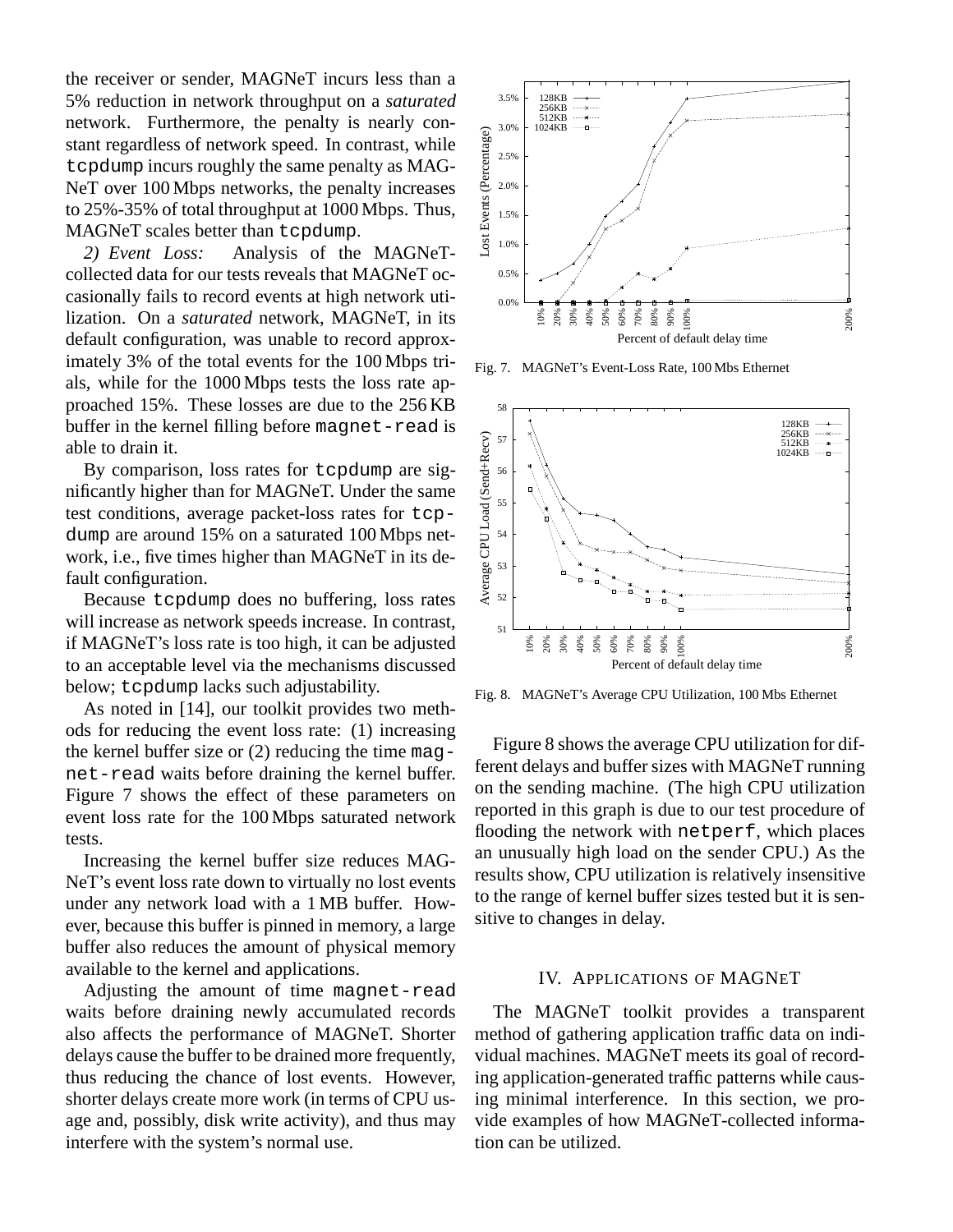the receiver or sender, MAGNeT incurs less than a 5% reduction in network throughput on a *saturated* network. Furthermore, the penalty is nearly constant regardless of network speed. In contrast, while tcpdump incurs roughly the same penalty as MAG-NeT over 100 Mbps networks, the penalty increases to 25%-35% of total throughput at 1000 Mbps. Thus, MAGNeT scales better than tcpdump.

*2) Event Loss:* Analysis of the MAGNeTcollected data for our tests reveals that MAGNeT occasionally fails to record events at high network utilization. On a *saturated* network, MAGNeT, in its default configuration, was unable to record approximately 3% of the total events for the 100 Mbps trials, while for the 1000 Mbps tests the loss rate approached 15%. These losses are due to the 256 KB buffer in the kernel filling before magnet-read is able to drain it.

By comparison, loss rates for tcpdump are significantly higher than for MAGNeT. Under the same test conditions, average packet-loss rates for tcpdump are around 15% on a saturated 100 Mbps network, i.e., five times higher than MAGNeT in its default configuration.

Because tcpdump does no buffering, loss rates will increase as network speeds increase. In contrast, if MAGNeT's loss rate is too high, it can be adjusted to an acceptable level via the mechanisms discussed below; tcpdump lacks such adjustability.

As noted in [14], our toolkit provides two methods for reducing the event loss rate: (1) increasing the kernel buffer size or (2) reducing the time magnet-read waits before draining the kernel buffer. Figure 7 shows the effect of these parameters on event loss rate for the 100 Mbps saturated network tests.

Increasing the kernel buffer size reduces MAG-NeT's event loss rate down to virtually no lost events under any network load with a 1 MB buffer. However, because this buffer is pinned in memory, a large buffer also reduces the amount of physical memory available to the kernel and applications.

Adjusting the amount of time magnet-read waits before draining newly accumulated records also affects the performance of MAGNeT. Shorter delays cause the buffer to be drained more frequently, thus reducing the chance of lost events. However, shorter delays create more work (in terms of CPU usage and, possibly, disk write activity), and thus may interfere with the system's normal use.



Fig. 7. MAGNeT's Event-Loss Rate, 100 Mbs Ethernet



Fig. 8. MAGNeT's Average CPU Utilization, 100 Mbs Ethernet

Figure 8 shows the average CPU utilization for different delays and buffer sizes with MAGNeT running on the sending machine. (The high CPU utilization reported in this graph is due to our test procedure of flooding the network with netperf, which places an unusually high load on the sender CPU.) As the results show, CPU utilization is relatively insensitive to the range of kernel buffer sizes tested but it is sensitive to changes in delay.

# IV. APPLICATIONS OF MAGNET

The MAGNeT toolkit provides a transparent method of gathering application traffic data on individual machines. MAGNeT meets its goal of recording application-generated traffic patterns while causing minimal interference. In this section, we provide examples of how MAGNeT-collected information can be utilized.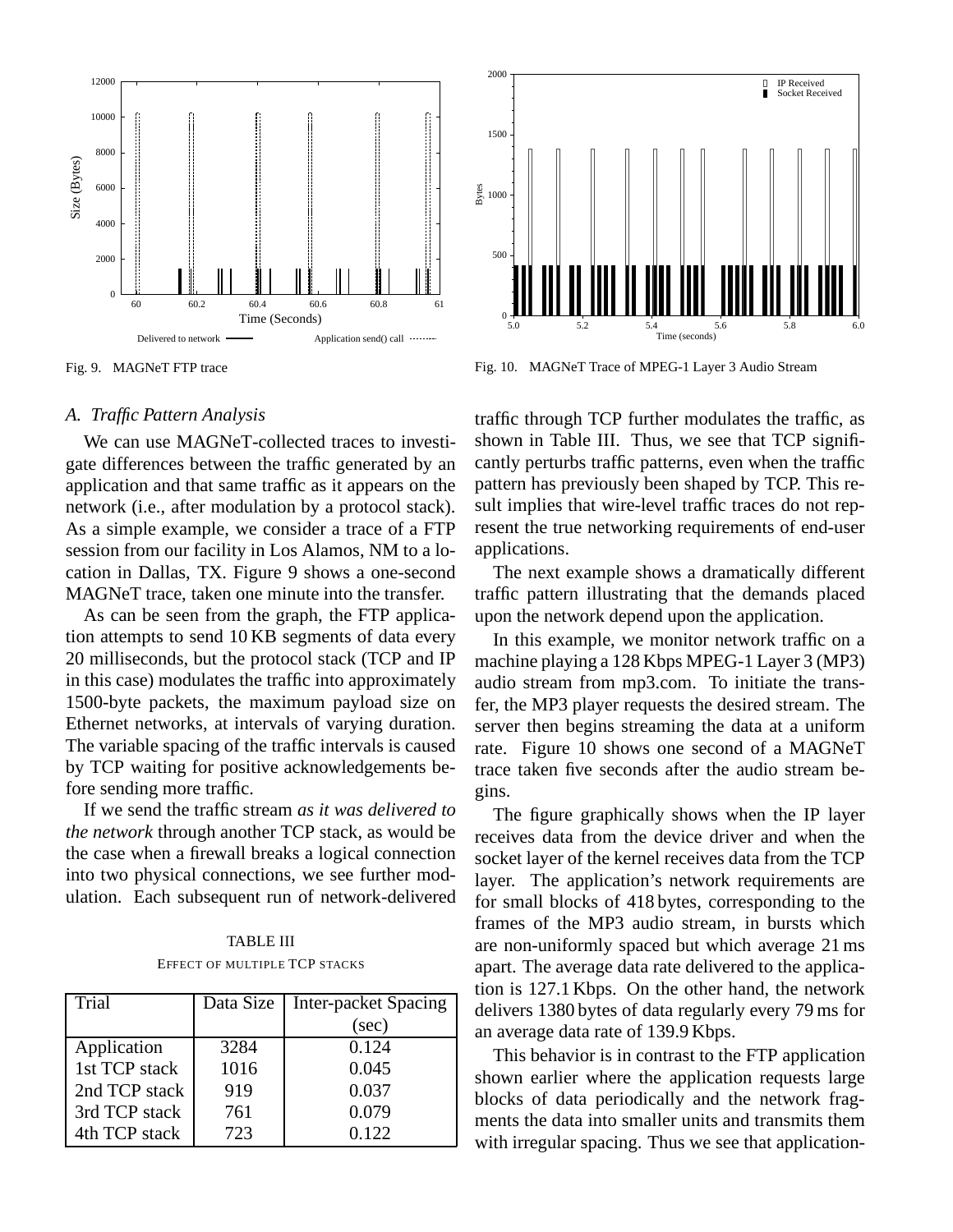

Fig. 9. MAGNeT FTP trace

## *A. Traffic Pattern Analysis*

We can use MAGNeT-collected traces to investigate differences between the traffic generated by an application and that same traffic as it appears on the network (i.e., after modulation by a protocol stack). As a simple example, we consider a trace of a FTP session from our facility in Los Alamos, NM to a location in Dallas, TX. Figure 9 shows a one-second MAGNeT trace, taken one minute into the transfer.

As can be seen from the graph, the FTP application attempts to send 10 KB segments of data every 20 milliseconds, but the protocol stack (TCP and IP in this case) modulates the traffic into approximately 1500-byte packets, the maximum payload size on Ethernet networks, at intervals of varying duration. The variable spacing of the traffic intervals is caused by TCP waiting for positive acknowledgements before sending more traffic.

If we send the traffic stream *as it was delivered to the network* through another TCP stack, as would be the case when a firewall breaks a logical connection into two physical connections, we see further modulation. Each subsequent run of network-delivered

TABLE III EFFECT OF MULTIPLE TCP STACKS

| Trial         | Data Size | Inter-packet Spacing |
|---------------|-----------|----------------------|
|               |           | (sec)                |
| Application   | 3284      | 0.124                |
| 1st TCP stack | 1016      | 0.045                |
| 2nd TCP stack | 919       | 0.037                |
| 3rd TCP stack | 761       | 0.079                |
| 4th TCP stack | 723       | 0.122                |



Fig. 10. MAGNeT Trace of MPEG-1 Layer 3 Audio Stream

traffic through TCP further modulates the traffic, as shown in Table III. Thus, we see that TCP significantly perturbs traffic patterns, even when the traffic pattern has previously been shaped by TCP. This result implies that wire-level traffic traces do not represent the true networking requirements of end-user applications.

The next example shows a dramatically different traffic pattern illustrating that the demands placed upon the network depend upon the application.

In this example, we monitor network traffic on a machine playing a 128 Kbps MPEG-1 Layer 3 (MP3) audio stream from mp3.com. To initiate the transfer, the MP3 player requests the desired stream. The server then begins streaming the data at a uniform rate. Figure 10 shows one second of a MAGNeT trace taken five seconds after the audio stream begins.

The figure graphically shows when the IP layer receives data from the device driver and when the socket layer of the kernel receives data from the TCP layer. The application's network requirements are for small blocks of 418 bytes, corresponding to the frames of the MP3 audio stream, in bursts which are non-uniformly spaced but which average 21 ms apart. The average data rate delivered to the application is 127.1 Kbps. On the other hand, the network delivers 1380 bytes of data regularly every 79 ms for an average data rate of 139.9 Kbps.

This behavior is in contrast to the FTP application shown earlier where the application requests large blocks of data periodically and the network fragments the data into smaller units and transmits them with irregular spacing. Thus we see that application-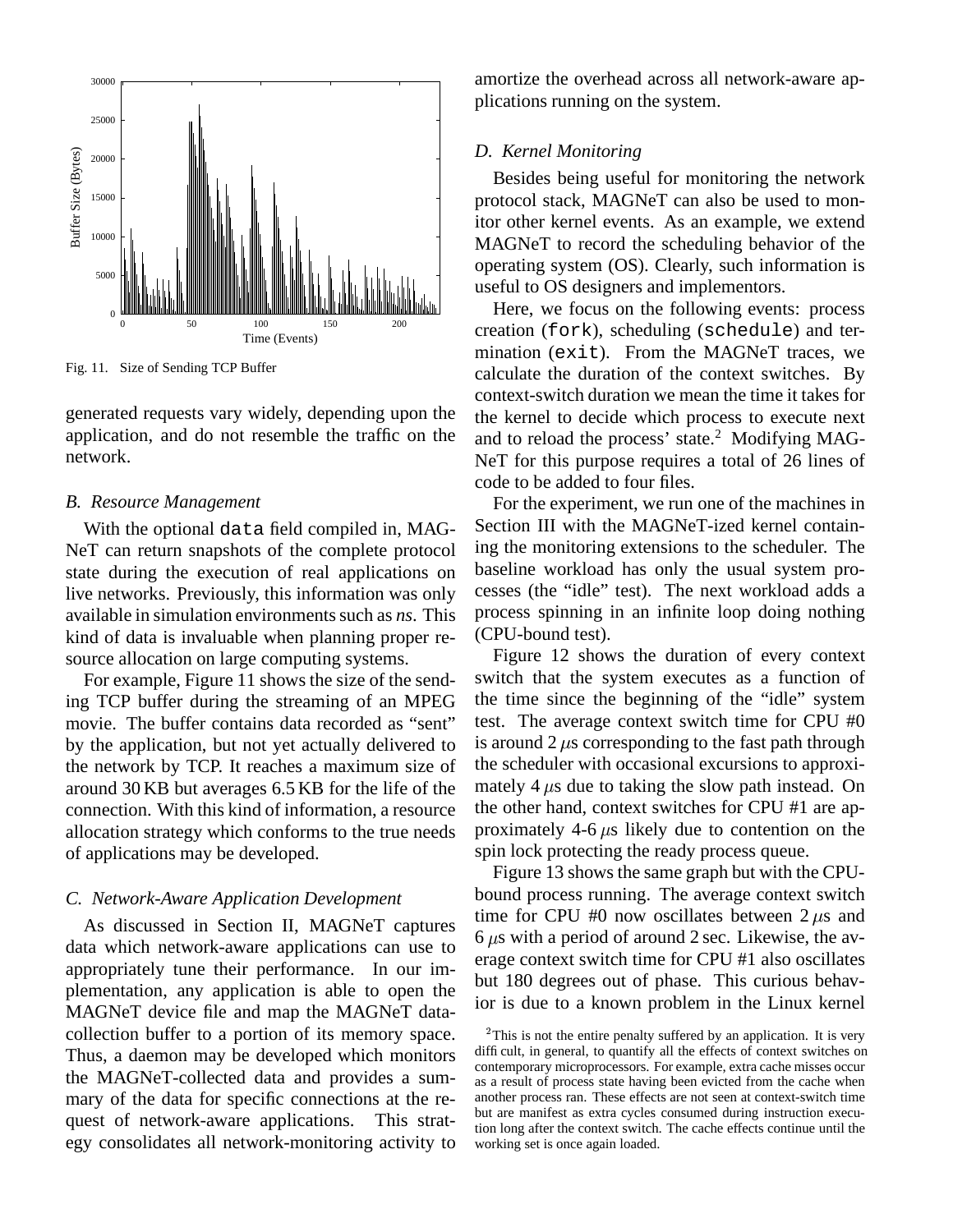

Fig. 11. Size of Sending TCP Buffer

generated requests vary widely, depending upon the application, and do not resemble the traffic on the network.

## *B. Resource Management*

With the optional data field compiled in, MAG-NeT can return snapshots of the complete protocol state during the execution of real applications on live networks. Previously, this information was only available in simulation environments such as *ns*. This kind of data is invaluable when planning proper resource allocation on large computing systems.

For example, Figure 11 shows the size of the sending TCP buffer during the streaming of an MPEG movie. The buffer contains data recorded as "sent" by the application, but not yet actually delivered to the network by TCP. It reaches a maximum size of around 30 KB but averages 6.5 KB for the life of the connection. With this kind of information, a resource allocation strategy which conforms to the true needs of applications may be developed.

# *C. Network-Aware Application Development*

As discussed in Section II, MAGNeT captures data which network-aware applications can use to appropriately tune their performance. In our implementation, any application is able to open the MAGNeT device file and map the MAGNeT datacollection buffer to a portion of its memory space. Thus, a daemon may be developed which monitors the MAGNeT-collected data and provides a summary of the data for specific connections at the request of network-aware applications. This strategy consolidates all network-monitoring activity to amortize the overhead across all network-aware applications running on the system.

## *D. Kernel Monitoring*

Besides being useful for monitoring the network protocol stack, MAGNeT can also be used to monitor other kernel events. As an example, we extend MAGNeT to record the scheduling behavior of the operating system (OS). Clearly, such information is useful to OS designers and implementors.

Here, we focus on the following events: process creation (fork), scheduling (schedule) and termination (exit). From the MAGNeT traces, we calculate the duration of the context switches. By context-switch duration we mean the time it takes for the kernel to decide which process to execute next and to reload the process' state.<sup>2</sup> Modifying MAG-NeT for this purpose requires a total of 26 lines of code to be added to four files.

For the experiment, we run one of the machines in Section III with the MAGNeT-ized kernel containing the monitoring extensions to the scheduler. The baseline workload has only the usual system processes (the "idle" test). The next workload adds a process spinning in an infinite loop doing nothing (CPU-bound test).

Figure 12 shows the duration of every context switch that the system executes as a function of the time since the beginning of the "idle" system test. The average context switch time for CPU #0 is around 2  $\mu$ s corresponding to the fast path through the scheduler with occasional excursions to approximately 4  $\mu$ s due to taking the slow path instead. On the other hand, context switches for CPU #1 are approximately 4-6  $\mu$ s likely due to contention on the spin lock protecting the ready process queue.

Figure 13 shows the same graph but with the CPUbound process running. The average context switch time for CPU #0 now oscillates between  $2 \mu s$  and  $6 \mu s$  with a period of around 2 sec. Likewise, the average context switch time for CPU #1 also oscillates but 180 degrees out of phase. This curious behavior is due to a known problem in the Linux kernel

 $2$ This is not the entire penalty suffered by an application. It is very difficult, in general, to quantify all the effects of context switches on contemporary microprocessors. For example, extra cache misses occur as a result of process state having been evicted from the cache when another process ran. These effects are not seen at context-switch time but are manifest as extra cycles consumed during instruction execution long after the context switch. The cache effects continue until the working set is once again loaded.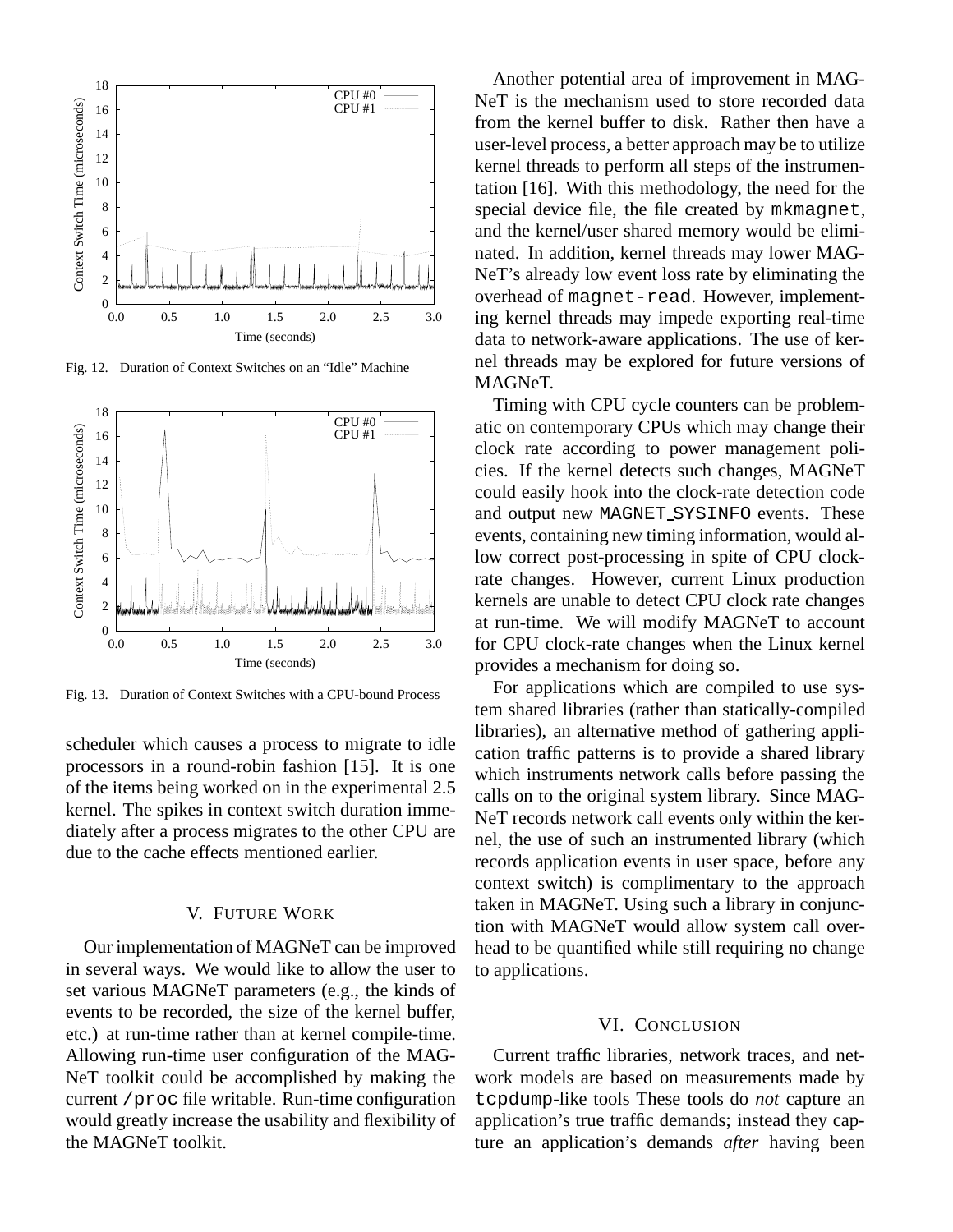

Fig. 12. Duration of Context Switches on an "Idle" Machine



Fig. 13. Duration of Context Switches with a CPU-bound Process

scheduler which causes a process to migrate to idle processors in a round-robin fashion [15]. It is one of the items being worked on in the experimental 2.5 kernel. The spikes in context switch duration immediately after a process migrates to the other CPU are due to the cache effects mentioned earlier.

## V. FUTURE WORK

Our implementation of MAGNeT can be improved in several ways. We would like to allow the user to set various MAGNeT parameters (e.g., the kinds of events to be recorded, the size of the kernel buffer, etc.) at run-time rather than at kernel compile-time. Allowing run-time user configuration of the MAG-NeT toolkit could be accomplished by making the current /proc file writable. Run-time configuration would greatly increase the usability and flexibility of the MAGNeT toolkit.

Another potential area of improvement in MAG-NeT is the mechanism used to store recorded data from the kernel buffer to disk. Rather then have a user-level process, a better approach may be to utilize kernel threads to perform all steps of the instrumentation [16]. With this methodology, the need for the special device file, the file created by mkmagnet, and the kernel/user shared memory would be eliminated. In addition, kernel threads may lower MAG-NeT's already low event loss rate by eliminating the overhead of magnet-read. However, implementing kernel threads may impede exporting real-time data to network-aware applications. The use of kernel threads may be explored for future versions of MAGNeT.

Timing with CPU cycle counters can be problematic on contemporary CPUs which may change their clock rate according to power management policies. If the kernel detects such changes, MAGNeT could easily hook into the clock-rate detection code and output new MAGNET SYSINFO events. These events, containing new timing information, would allow correct post-processing in spite of CPU clockrate changes. However, current Linux production kernels are unable to detect CPU clock rate changes at run-time. We will modify MAGNeT to account for CPU clock-rate changes when the Linux kernel provides a mechanism for doing so.

For applications which are compiled to use system shared libraries (rather than statically-compiled libraries), an alternative method of gathering application traffic patterns is to provide a shared library which instruments network calls before passing the calls on to the original system library. Since MAG-NeT records network call events only within the kernel, the use of such an instrumented library (which records application events in user space, before any context switch) is complimentary to the approach taken in MAGNeT. Using such a library in conjunction with MAGNeT would allow system call overhead to be quantified while still requiring no change to applications.

# VI. CONCLUSION

Current traffic libraries, network traces, and network models are based on measurements made by tcpdump-like tools These tools do *not* capture an application's true traffic demands; instead they capture an application's demands *after* having been